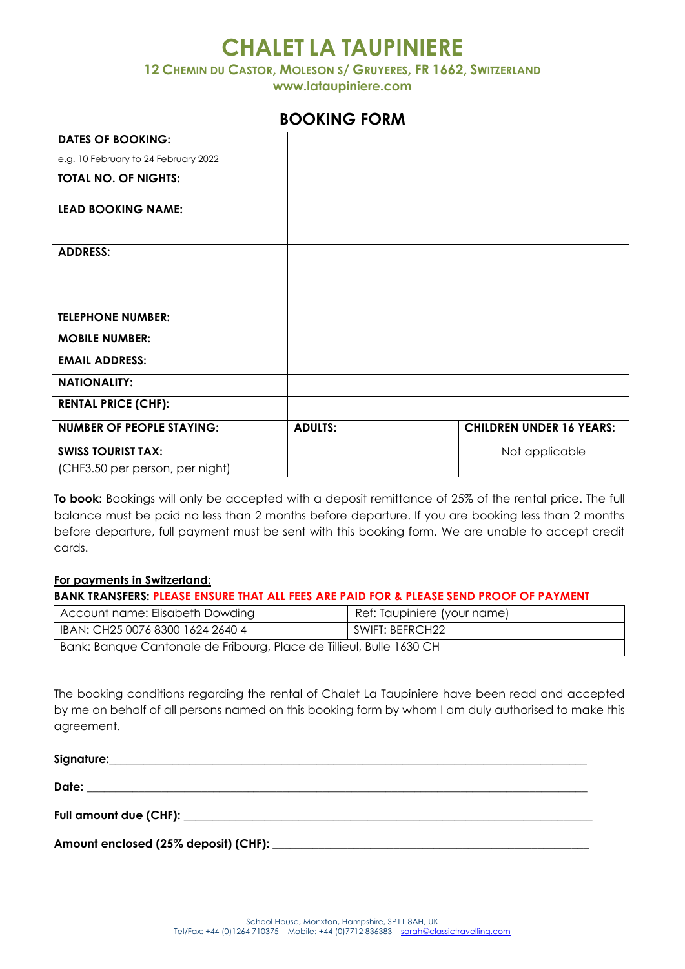# **CHALET LA TAUPINIERE**

**12 CHEMIN DU CASTOR, MOLESON S/ GRUYERES, FR 1662, SWITZERLAND**

**[www.lataupiniere.com](http://www.lataupiniere.com/)**

## **BOOKING FORM**

| <b>DATES OF BOOKING:</b>             |                |                                 |
|--------------------------------------|----------------|---------------------------------|
| e.g. 10 February to 24 February 2022 |                |                                 |
| <b>TOTAL NO. OF NIGHTS:</b>          |                |                                 |
| <b>LEAD BOOKING NAME:</b>            |                |                                 |
| <b>ADDRESS:</b>                      |                |                                 |
| <b>TELEPHONE NUMBER:</b>             |                |                                 |
| <b>MOBILE NUMBER:</b>                |                |                                 |
| <b>EMAIL ADDRESS:</b>                |                |                                 |
| <b>NATIONALITY:</b>                  |                |                                 |
| <b>RENTAL PRICE (CHF):</b>           |                |                                 |
| <b>NUMBER OF PEOPLE STAYING:</b>     | <b>ADULTS:</b> | <b>CHILDREN UNDER 16 YEARS:</b> |
| <b>SWISS TOURIST TAX:</b>            |                | Not applicable                  |
| (CHF3.50 per person, per night)      |                |                                 |

**To book:** Bookings will only be accepted with a deposit remittance of 25% of the rental price. The full balance must be paid no less than 2 months before departure. If you are booking less than 2 months before departure, full payment must be sent with this booking form. We are unable to accept credit cards.

#### **For payments in Switzerland:**

| <b>BANK TRANSFERS: PLEASE ENSURE THAT ALL FEES ARE PAID FOR &amp; PLEASE SEND PROOF OF PAYMENT</b> |                             |  |
|----------------------------------------------------------------------------------------------------|-----------------------------|--|
| Account name: Elisabeth Dowding                                                                    | Ref: Taupiniere (your name) |  |
| IBAN: CH25 0076 8300 1624 2640 4                                                                   | SWIFT: BEFRCH22             |  |
| Bank: Banque Cantonale de Fribourg, Place de Tillieul, Bulle 1630 CH                               |                             |  |

The booking conditions regarding the rental of Chalet La Taupiniere have been read and accepted by me on behalf of all persons named on this booking form by whom I am duly authorised to make this agreement.